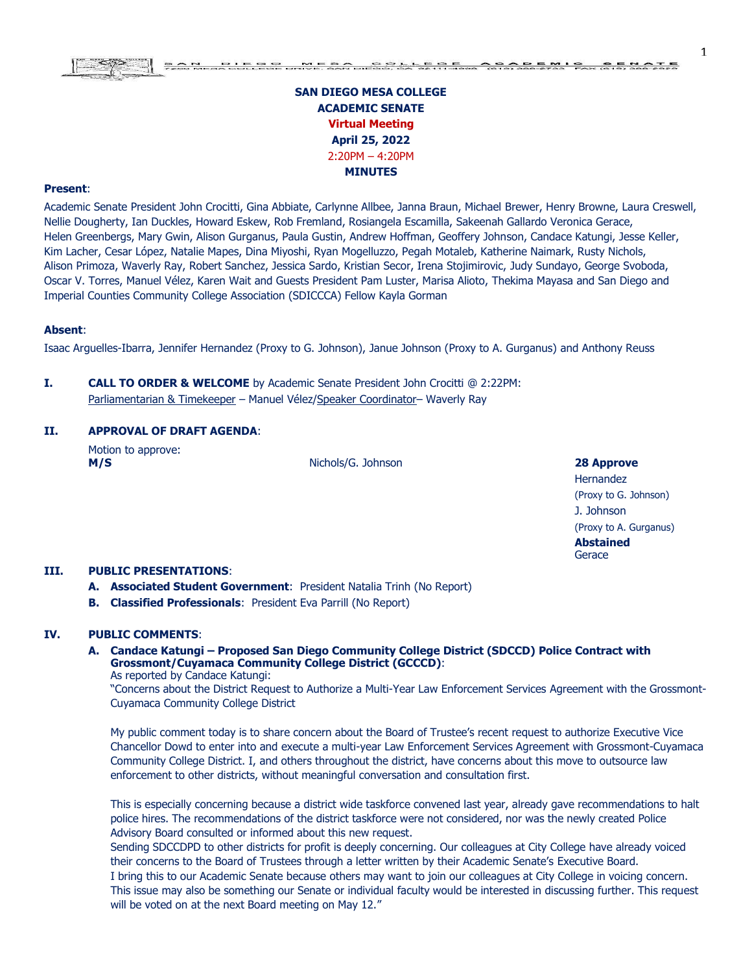# **SAN DIEGO MESA COLLEGE ACADEMIC SENATE Virtual Meeting April 25, 2022**  2:20PM – 4:20PM **MINUTES**

#### **Present**:

Academic Senate President John Crocitti, Gina Abbiate, Carlynne Allbee, Janna Braun, Michael Brewer, Henry Browne, Laura Creswell, Nellie Dougherty, Ian Duckles, Howard Eskew, Rob Fremland, Rosiangela Escamilla, Sakeenah Gallardo Veronica Gerace, Helen Greenbergs, Mary Gwin, Alison Gurganus, Paula Gustin, Andrew Hoffman, Geoffery Johnson, Candace Katungi, Jesse Keller, Kim Lacher, Cesar López, Natalie Mapes, Dina Miyoshi, Ryan Mogelluzzo, Pegah Motaleb, Katherine Naimark, Rusty Nichols, Alison Primoza, Waverly Ray, Robert Sanchez, Jessica Sardo, Kristian Secor, Irena Stojimirovic, Judy Sundayo, George Svoboda, Oscar V. Torres, Manuel Vélez, Karen Wait and Guests President Pam Luster, Marisa Alioto, Thekima Mayasa and San Diego and Imperial Counties Community College Association (SDICCCA) Fellow Kayla Gorman

#### **Absent**:

Isaac Arguelles-Ibarra, Jennifer Hernandez (Proxy to G. Johnson), Janue Johnson (Proxy to A. Gurganus) and Anthony Reuss

**I. CALL TO ORDER & WELCOME** by Academic Senate President John Crocitti @ 2:22PM: Parliamentarian & Timekeeper - Manuel Vélez/Speaker Coordinator- Waverly Ray

### **II. APPROVAL OF DRAFT AGENDA**:

Motion to approve:

**M/S** Nichols/G. Johnson **28 Approve**

Hernandez (Proxy to G. Johnson) J. Johnson (Proxy to A. Gurganus) **Abstained Gerace** 

#### **III. PUBLIC PRESENTATIONS**:

- **A. Associated Student Government**: President Natalia Trinh (No Report)
- **B. Classified Professionals**: President Eva Parrill (No Report)

# **IV. PUBLIC COMMENTS**:

**A. Candace Katungi – Proposed San Diego Community College District (SDCCD) Police Contract with Grossmont/Cuyamaca Community College District (GCCCD)**: As reported by Candace Katungi:

"Concerns about the District Request to Authorize a Multi-Year Law Enforcement Services Agreement with the Grossmont-Cuyamaca Community College District

My public comment today is to share concern about the Board of Trustee's recent request to authorize Executive Vice Chancellor Dowd to enter into and execute a multi-year Law Enforcement Services Agreement with Grossmont-Cuyamaca Community College District. I, and others throughout the district, have concerns about this move to outsource law enforcement to other districts, without meaningful conversation and consultation first.

This is especially concerning because a district wide taskforce convened last year, already gave recommendations to halt police hires. The recommendations of the district taskforce were not considered, nor was the newly created Police Advisory Board consulted or informed about this new request.

Sending SDCCDPD to other districts for profit is deeply concerning. Our colleagues at City College have already voiced their concerns to the Board of Trustees through a letter written by their Academic Senate's Executive Board. I bring this to our Academic Senate because others may want to join our colleagues at City College in voicing concern. This issue may also be something our Senate or individual faculty would be interested in discussing further. This request will be voted on at the next Board meeting on May 12."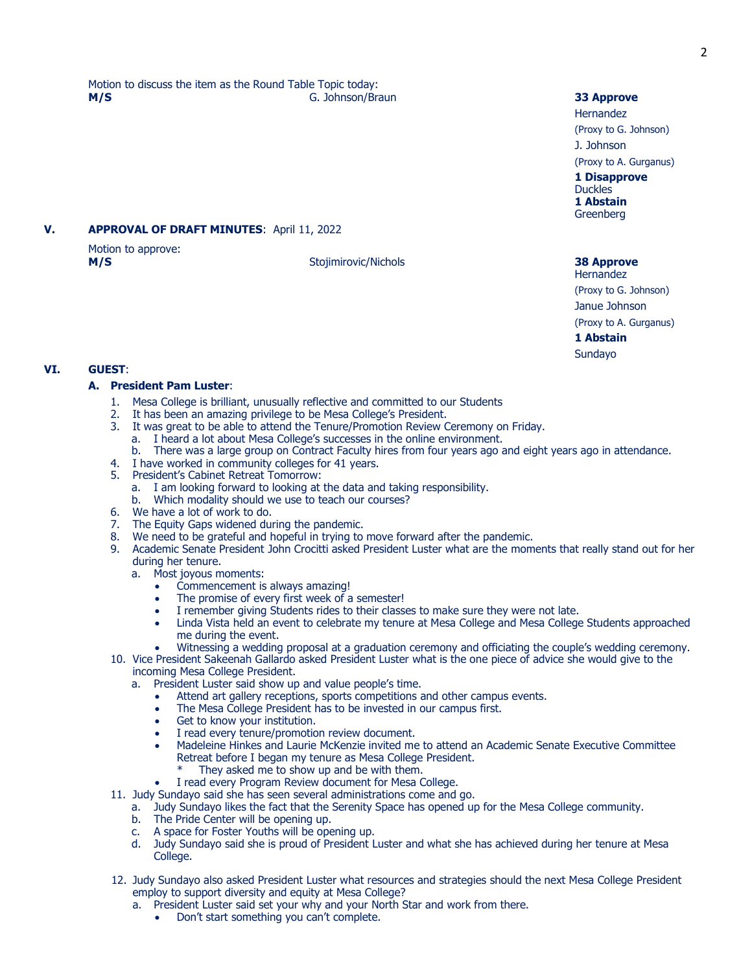Motion to discuss the item as the Round Table Topic today: **M/S** G. Johnson/Braun **33 Approve**

### **V. APPROVAL OF DRAFT MINUTES**: April 11, 2022

Motion to approve: **M/S** Stojimirovic/Nichols **38 Approve**

Hernandez (Proxy to G. Johnson) J. Johnson

(Proxy to A. Gurganus)

**1 Disapprove** Duckles **1 Abstain** Greenberg

# Hernandez

(Proxy to G. Johnson) Janue Johnson

(Proxy to A. Gurganus)

**1 Abstain** Sundayo

# **VI. GUEST**:

### **A. President Pam Luster**:

- 1. Mesa College is brilliant, unusually reflective and committed to our Students
- 2. It has been an amazing privilege to be Mesa College's President.
- 3. It was great to be able to attend the Tenure/Promotion Review Ceremony on Friday.
- a. I heard a lot about Mesa College's successes in the online environment.
	- b. There was a large group on Contract Faculty hires from four years ago and eight years ago in attendance.
- 4. I have worked in community colleges for 41 years.
- 5. President's Cabinet Retreat Tomorrow:
	- a. I am looking forward to looking at the data and taking responsibility.
	- Which modality should we use to teach our courses?
- 6. We have a lot of work to do.
- 7. The Equity Gaps widened during the pandemic.
- 8. We need to be grateful and hopeful in trying to move forward after the pandemic.
- 9. Academic Senate President John Crocitti asked President Luster what are the moments that really stand out for her during her tenure.
	- a. Most joyous moments:
		- Commencement is always amazing!
		- The promise of every first week of a semester!
		- I remember giving Students rides to their classes to make sure they were not late.
		- Linda Vista held an event to celebrate my tenure at Mesa College and Mesa College Students approached me during the event.
	- Witnessing a wedding proposal at a graduation ceremony and officiating the couple's wedding ceremony.
- 10. Vice President Sakeenah Gallardo asked President Luster what is the one piece of advice she would give to the incoming Mesa College President.
	- a. President Luster said show up and value people's time.
		- Attend art gallery receptions, sports competitions and other campus events.
		- The Mesa College President has to be invested in our campus first.
		- Get to know your institution.
		- I read every tenure/promotion review document.
		- Madeleine Hinkes and Laurie McKenzie invited me to attend an Academic Senate Executive Committee Retreat before I began my tenure as Mesa College President.
			- They asked me to show up and be with them.
		- I read every Program Review document for Mesa College.
- 11. Judy Sundayo said she has seen several administrations come and go. a. Judy Sundayo likes the fact that the Serenity Space has opened up for the Mesa College community.
	- b. The Pride Center will be opening up.
	- c. A space for Foster Youths will be opening up.
	- d. Judy Sundayo said she is proud of President Luster and what she has achieved during her tenure at Mesa College.
- 12. Judy Sundayo also asked President Luster what resources and strategies should the next Mesa College President employ to support diversity and equity at Mesa College?
	- a. President Luster said set your why and your North Star and work from there.
		- Don't start something you can't complete.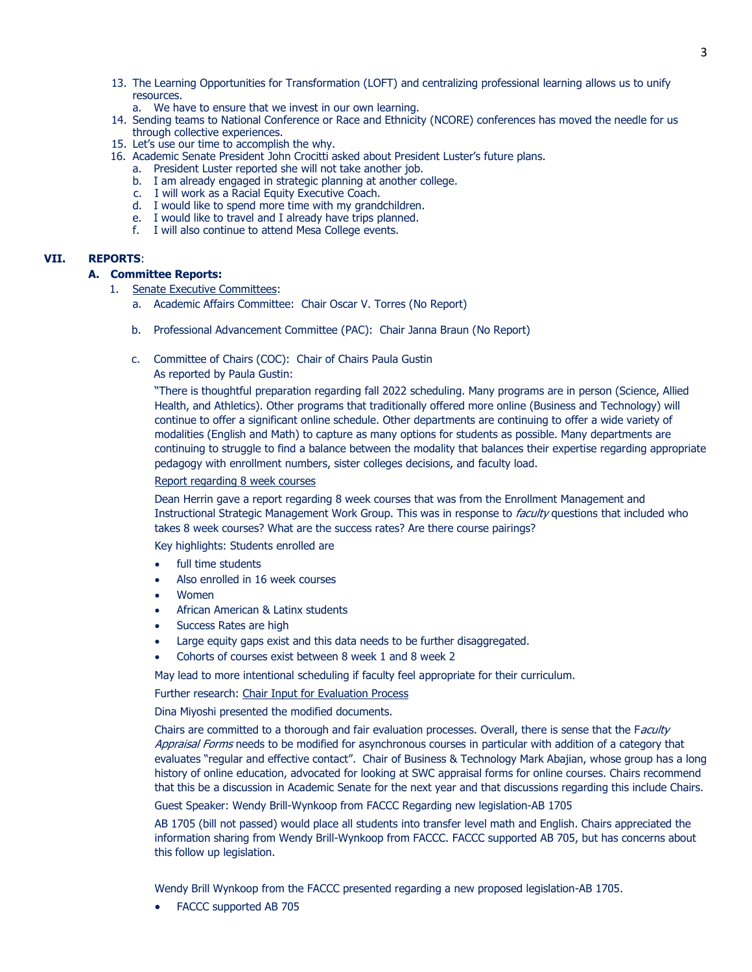- 13. The Learning Opportunities for Transformation (LOFT) and centralizing professional learning allows us to unify resources.
	- a. We have to ensure that we invest in our own learning.
- 14. Sending teams to National Conference or Race and Ethnicity (NCORE) conferences has moved the needle for us through collective experiences.
- 15. Let's use our time to accomplish the why.
- 16. Academic Senate President John Crocitti asked about President Luster's future plans.
	- a. President Luster reported she will not take another job.
	- b. I am already engaged in strategic planning at another college.
	- c. I will work as a Racial Equity Executive Coach.
	- d. I would like to spend more time with my grandchildren.
	- e. I would like to travel and I already have trips planned.
	- f. I will also continue to attend Mesa College events.

# **VII. REPORTS**:

#### **A. Committee Reports:**

- 1. Senate Executive Committees:
	- a. Academic Affairs Committee: Chair Oscar V. Torres (No Report)
	- b. Professional Advancement Committee (PAC): Chair Janna Braun (No Report)
	- c. Committee of Chairs (COC): Chair of Chairs Paula Gustin
		- As reported by Paula Gustin:

"There is thoughtful preparation regarding fall 2022 scheduling. Many programs are in person (Science, Allied Health, and Athletics). Other programs that traditionally offered more online (Business and Technology) will continue to offer a significant online schedule. Other departments are continuing to offer a wide variety of modalities (English and Math) to capture as many options for students as possible. Many departments are continuing to struggle to find a balance between the modality that balances their expertise regarding appropriate pedagogy with enrollment numbers, sister colleges decisions, and faculty load.

#### Report regarding 8 week courses

Dean Herrin gave a report regarding 8 week courses that was from the Enrollment Management and Instructional Strategic Management Work Group. This was in response to *faculty* questions that included who takes 8 week courses? What are the success rates? Are there course pairings?

Key highlights: Students enrolled are

- full time students
- Also enrolled in 16 week courses
- Women
- African American & Latinx students
- Success Rates are high
- Large equity gaps exist and this data needs to be further disaggregated.
- Cohorts of courses exist between 8 week 1 and 8 week 2

May lead to more intentional scheduling if faculty feel appropriate for their curriculum.

Further research: Chair Input for Evaluation Process

Dina Miyoshi presented the modified documents.

Chairs are committed to a thorough and fair evaluation processes. Overall, there is sense that the Faculty Appraisal Forms needs to be modified for asynchronous courses in particular with addition of a category that evaluates "regular and effective contact". Chair of Business & Technology Mark Abajian, whose group has a long history of online education, advocated for looking at SWC appraisal forms for online courses. Chairs recommend that this be a discussion in Academic Senate for the next year and that discussions regarding this include Chairs. Guest Speaker: Wendy Brill-Wynkoop from FACCC Regarding new legislation-AB 1705

AB 1705 (bill not passed) would place all students into transfer level math and English. Chairs appreciated the information sharing from Wendy Brill-Wynkoop from FACCC. FACCC supported AB 705, but has concerns about this follow up legislation.

Wendy Brill Wynkoop from the FACCC presented regarding a new proposed legislation-AB 1705.

• FACCC supported AB 705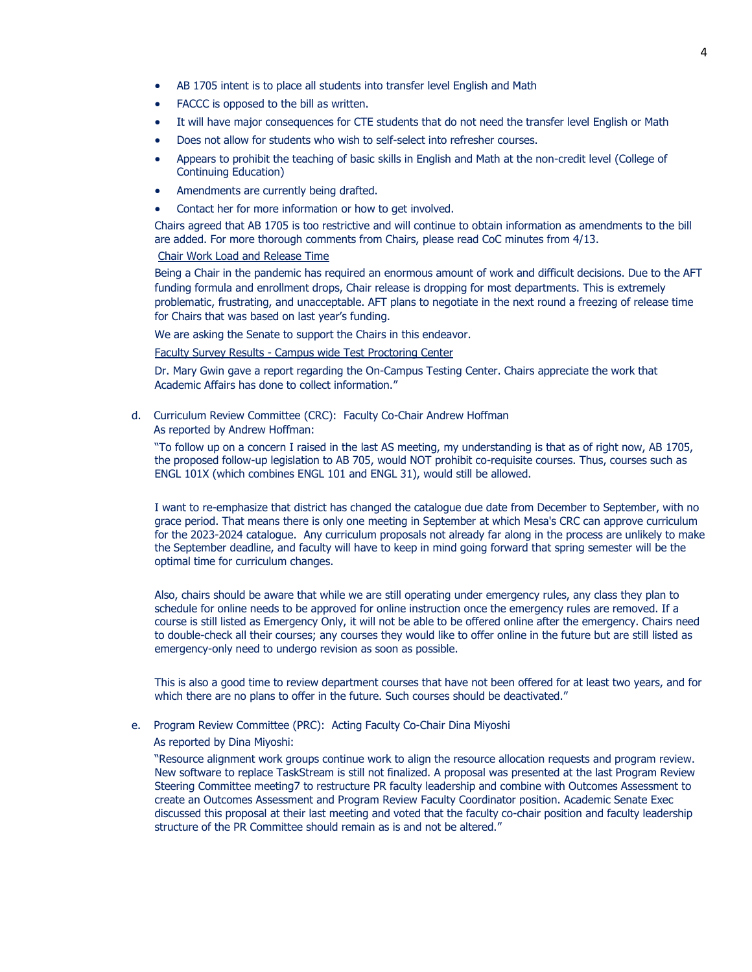- AB 1705 intent is to place all students into transfer level English and Math
- FACCC is opposed to the bill as written.
- It will have major consequences for CTE students that do not need the transfer level English or Math
- Does not allow for students who wish to self-select into refresher courses.
- Appears to prohibit the teaching of basic skills in English and Math at the non-credit level (College of Continuing Education)
- Amendments are currently being drafted.
- Contact her for more information or how to get involved.

Chairs agreed that AB 1705 is too restrictive and will continue to obtain information as amendments to the bill are added. For more thorough comments from Chairs, please read CoC minutes from 4/13.

### Chair Work Load and Release Time

Being a Chair in the pandemic has required an enormous amount of work and difficult decisions. Due to the AFT funding formula and enrollment drops, Chair release is dropping for most departments. This is extremely problematic, frustrating, and unacceptable. AFT plans to negotiate in the next round a freezing of release time for Chairs that was based on last year's funding.

We are asking the Senate to support the Chairs in this endeavor.

Faculty Survey Results - Campus wide Test Proctoring Center

Dr. Mary Gwin gave a report regarding the On-Campus Testing Center. Chairs appreciate the work that Academic Affairs has done to collect information."

d. Curriculum Review Committee (CRC): Faculty Co-Chair Andrew Hoffman

As reported by Andrew Hoffman:

"To follow up on a concern I raised in the last AS meeting, my understanding is that as of right now, AB 1705, the proposed follow-up legislation to AB 705, would NOT prohibit co-requisite courses. Thus, courses such as ENGL 101X (which combines ENGL 101 and ENGL 31), would still be allowed.

I want to re-emphasize that district has changed the catalogue due date from December to September, with no grace period. That means there is only one meeting in September at which Mesa's CRC can approve curriculum for the 2023-2024 catalogue. Any curriculum proposals not already far along in the process are unlikely to make the September deadline, and faculty will have to keep in mind going forward that spring semester will be the optimal time for curriculum changes.

Also, chairs should be aware that while we are still operating under emergency rules, any class they plan to schedule for online needs to be approved for online instruction once the emergency rules are removed. If a course is still listed as Emergency Only, it will not be able to be offered online after the emergency. Chairs need to double-check all their courses; any courses they would like to offer online in the future but are still listed as emergency-only need to undergo revision as soon as possible.

This is also a good time to review department courses that have not been offered for at least two years, and for which there are no plans to offer in the future. Such courses should be deactivated."

#### e. Program Review Committee (PRC): Acting Faculty Co-Chair Dina Miyoshi

As reported by Dina Miyoshi:

"Resource alignment work groups continue work to align the resource allocation requests and program review. New software to replace TaskStream is still not finalized. A proposal was presented at the last Program Review Steering Committee meeting7 to restructure PR faculty leadership and combine with Outcomes Assessment to create an Outcomes Assessment and Program Review Faculty Coordinator position. Academic Senate Exec discussed this proposal at their last meeting and voted that the faculty co-chair position and faculty leadership structure of the PR Committee should remain as is and not be altered."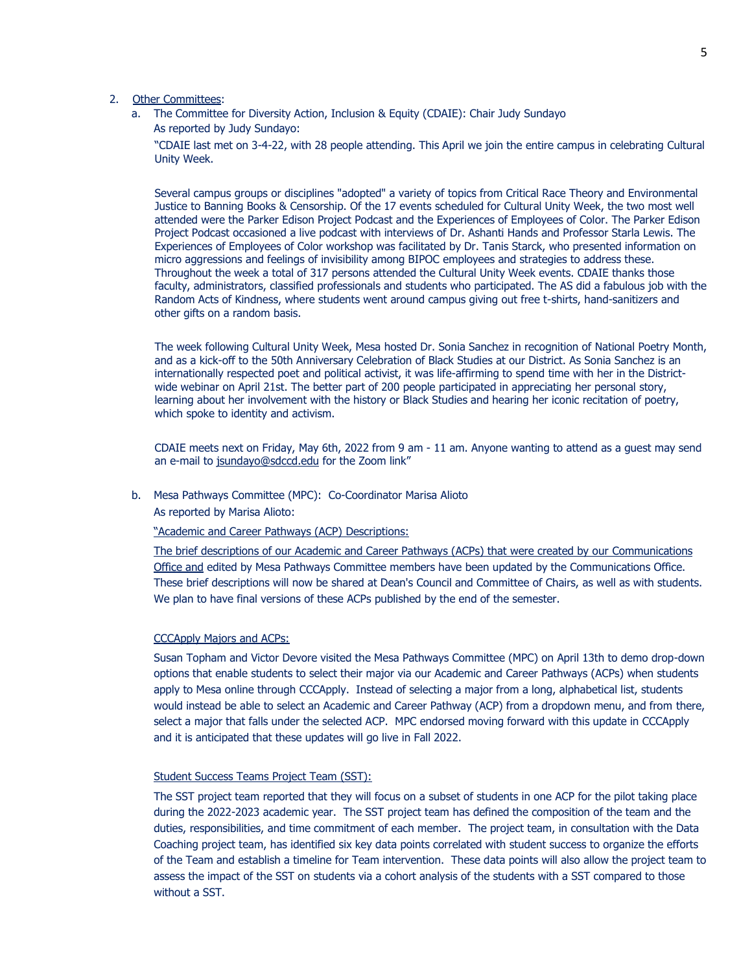### 2. Other Committees:

a. The Committee for Diversity Action, Inclusion & Equity (CDAIE): Chair Judy Sundayo As reported by Judy Sundayo:

"CDAIE last met on 3-4-22, with 28 people attending. This April we join the entire campus in celebrating Cultural Unity Week.

Several campus groups or disciplines "adopted" a variety of topics from Critical Race Theory and Environmental Justice to Banning Books & Censorship. Of the 17 events scheduled for Cultural Unity Week, the two most well attended were the Parker Edison Project Podcast and the Experiences of Employees of Color. The Parker Edison Project Podcast occasioned a live podcast with interviews of Dr. Ashanti Hands and Professor Starla Lewis. The Experiences of Employees of Color workshop was facilitated by Dr. Tanis Starck, who presented information on micro aggressions and feelings of invisibility among BIPOC employees and strategies to address these. Throughout the week a total of 317 persons attended the Cultural Unity Week events. CDAIE thanks those faculty, administrators, classified professionals and students who participated. The AS did a fabulous job with the Random Acts of Kindness, where students went around campus giving out free t-shirts, hand-sanitizers and other gifts on a random basis.

The week following Cultural Unity Week, Mesa hosted Dr. Sonia Sanchez in recognition of National Poetry Month, and as a kick-off to the 50th Anniversary Celebration of Black Studies at our District. As Sonia Sanchez is an internationally respected poet and political activist, it was life-affirming to spend time with her in the Districtwide webinar on April 21st. The better part of 200 people participated in appreciating her personal story, learning about her involvement with the history or Black Studies and hearing her iconic recitation of poetry, which spoke to identity and activism.

CDAIE meets next on Friday, May 6th, 2022 from 9 am - 11 am. Anyone wanting to attend as a guest may send an e-mail to [jsundayo@sdccd.edu](mailto:jsundayo@sdccd.edu) for the Zoom link"

#### b. Mesa Pathways Committee (MPC): Co-Coordinator Marisa Alioto

As reported by Marisa Alioto:

"Academic and Career Pathways (ACP) Descriptions:

The brief descriptions of our Academic and Career Pathways (ACPs) that were created by our Communications Office and edited by Mesa Pathways Committee members have been updated by the Communications Office. These brief descriptions will now be shared at Dean's Council and Committee of Chairs, as well as with students. We plan to have final versions of these ACPs published by the end of the semester.

#### CCCApply Majors and ACPs:

Susan Topham and Victor Devore visited the Mesa Pathways Committee (MPC) on April 13th to demo drop-down options that enable students to select their major via our Academic and Career Pathways (ACPs) when students apply to Mesa online through CCCApply. Instead of selecting a major from a long, alphabetical list, students would instead be able to select an Academic and Career Pathway (ACP) from a dropdown menu, and from there, select a major that falls under the selected ACP. MPC endorsed moving forward with this update in CCCApply and it is anticipated that these updates will go live in Fall 2022.

#### Student Success Teams Project Team (SST):

The SST project team reported that they will focus on a subset of students in one ACP for the pilot taking place during the 2022-2023 academic year. The SST project team has defined the composition of the team and the duties, responsibilities, and time commitment of each member. The project team, in consultation with the Data Coaching project team, has identified six key data points correlated with student success to organize the efforts of the Team and establish a timeline for Team intervention. These data points will also allow the project team to assess the impact of the SST on students via a cohort analysis of the students with a SST compared to those without a SST.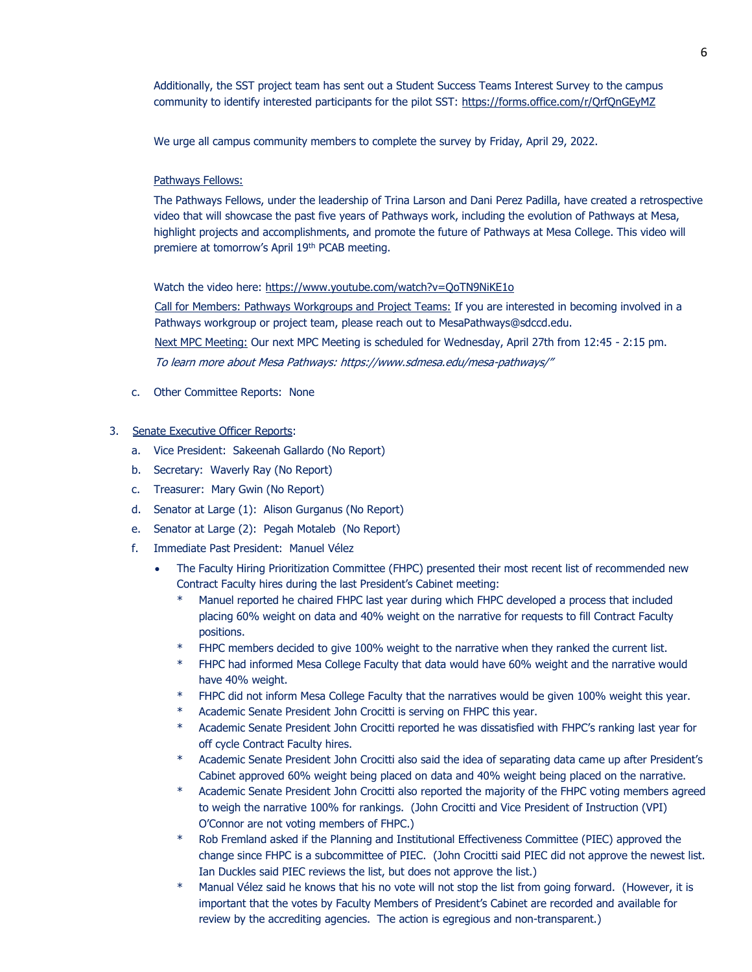Additionally, the SST project team has sent out a Student Success Teams Interest Survey to the campus community to identify interested participants for the pilot SST: https://forms.office.com/r/QrfQnGEyMZ

We urge all campus community members to complete the survey by Friday, April 29, 2022.

#### Pathways Fellows:

The Pathways Fellows, under the leadership of Trina Larson and Dani Perez Padilla, have created a retrospective video that will showcase the past five years of Pathways work, including the evolution of Pathways at Mesa, highlight projects and accomplishments, and promote the future of Pathways at Mesa College. This video will premiere at tomorrow's April 19th PCAB meeting.

#### Watch the video here:<https://www.youtube.com/watch?v=QoTN9NiKE1o>

Call for Members: Pathways Workgroups and Project Teams: If you are interested in becoming involved in a Pathways workgroup or project team, please reach out to MesaPathways@sdccd.edu.

Next MPC Meeting: Our next MPC Meeting is scheduled for Wednesday, April 27th from 12:45 - 2:15 pm.

To learn more about Mesa Pathway[s:](https://www.sdmesa.edu/mesa-pathways/) <https://www.sdmesa.edu/mesa-pathways/>"

c. Other Committee Reports: None

#### 3. Senate Executive Officer Reports:

- a. Vice President: Sakeenah Gallardo (No Report)
- b. Secretary: Waverly Ray (No Report)
- c. Treasurer: Mary Gwin (No Report)
- d. Senator at Large (1): Alison Gurganus (No Report)
- e. Senator at Large (2): Pegah Motaleb (No Report)
- f. Immediate Past President: Manuel Vélez
	- The Faculty Hiring Prioritization Committee (FHPC) presented their most recent list of recommended new Contract Faculty hires during the last President's Cabinet meeting:
		- Manuel reported he chaired FHPC last year during which FHPC developed a process that included placing 60% weight on data and 40% weight on the narrative for requests to fill Contract Faculty positions.
		- FHPC members decided to give 100% weight to the narrative when they ranked the current list.
		- \* FHPC had informed Mesa College Faculty that data would have 60% weight and the narrative would have 40% weight.
		- FHPC did not inform Mesa College Faculty that the narratives would be given 100% weight this year.
		- Academic Senate President John Crocitti is serving on FHPC this year.
		- Academic Senate President John Crocitti reported he was dissatisfied with FHPC's ranking last year for off cycle Contract Faculty hires.
		- Academic Senate President John Crocitti also said the idea of separating data came up after President's Cabinet approved 60% weight being placed on data and 40% weight being placed on the narrative.
		- \* Academic Senate President John Crocitti also reported the majority of the FHPC voting members agreed to weigh the narrative 100% for rankings. (John Crocitti and Vice President of Instruction (VPI) O'Connor are not voting members of FHPC.)
		- \* Rob Fremland asked if the Planning and Institutional Effectiveness Committee (PIEC) approved the change since FHPC is a subcommittee of PIEC. (John Crocitti said PIEC did not approve the newest list. Ian Duckles said PIEC reviews the list, but does not approve the list.)
		- \* Manual Vélez said he knows that his no vote will not stop the list from going forward. (However, it is important that the votes by Faculty Members of President's Cabinet are recorded and available for review by the accrediting agencies. The action is egregious and non-transparent.)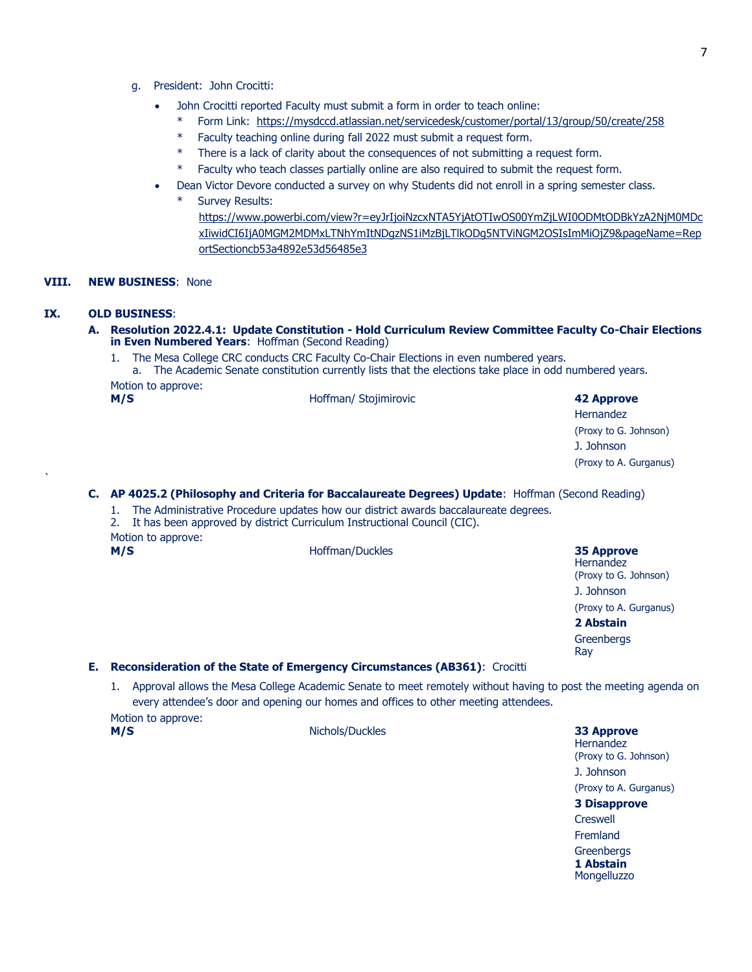- g. President: John Crocitti:
	- John Crocitti reported Faculty must submit a form in order to teach online:
		- \* Form Link: <https://mysdccd.atlassian.net/servicedesk/customer/portal/13/group/50/create/258>
		- Faculty teaching online during fall 2022 must submit a request form.
		- \* There is a lack of clarity about the consequences of not submitting a request form.
		- \* Faculty who teach classes partially online are also required to submit the request form.
	- Dean Victor Devore conducted a survey on why Students did not enroll in a spring semester class.
		- Survey Results:

[https://www.powerbi.com/view?r=eyJrIjoiNzcxNTA5YjAtOTIwOS00YmZjLWI0ODMtODBkYzA2NjM0MDc](https://www.powerbi.com/view?r=eyJrIjoiNzcxNTA5YjAtOTIwOS00YmZjLWI0ODMtODBkYzA2NjM0MDcxIiwidCI6IjA0MGM2MDMxLTNhYmItNDgzNS1iMzBjLTlkODg5NTViNGM2OSIsImMiOjZ9&pageName=ReportSectioncb53a4892e53d56485e3) [xIiwidCI6IjA0MGM2MDMxLTNhYmItNDgzNS1iMzBjLTlkODg5NTViNGM2OSIsImMiOjZ9&pageName=Rep](https://www.powerbi.com/view?r=eyJrIjoiNzcxNTA5YjAtOTIwOS00YmZjLWI0ODMtODBkYzA2NjM0MDcxIiwidCI6IjA0MGM2MDMxLTNhYmItNDgzNS1iMzBjLTlkODg5NTViNGM2OSIsImMiOjZ9&pageName=ReportSectioncb53a4892e53d56485e3) [ortSectioncb53a4892e53d56485e3](https://www.powerbi.com/view?r=eyJrIjoiNzcxNTA5YjAtOTIwOS00YmZjLWI0ODMtODBkYzA2NjM0MDcxIiwidCI6IjA0MGM2MDMxLTNhYmItNDgzNS1iMzBjLTlkODg5NTViNGM2OSIsImMiOjZ9&pageName=ReportSectioncb53a4892e53d56485e3)

#### **VIII. NEW BUSINESS**: None

#### **IX. OLD BUSINESS**:

- **A. Resolution 2022.4.1: Update Constitution - Hold Curriculum Review Committee Faculty Co-Chair Elections in Even Numbered Years**: Hoffman (Second Reading)
	- 1. The Mesa College CRC conducts CRC Faculty Co-Chair Elections in even numbered years.
	- a. The Academic Senate constitution currently lists that the elections take place in odd numbered years. Motion to approve:

**B. M/S** Hoffman/ Stojimirovic **42 Approve**

Hernandez (Proxy to G. Johnson) J. Johnson (Proxy to A. Gurganus)

#### **C. AP 4025.2 (Philosophy and Criteria for Baccalaureate Degrees) Update**: Hoffman (Second Reading)

- 1. The Administrative Procedure updates how our district awards baccalaureate degrees.
- 2. It has been approved by district Curriculum Instructional Council (CIC).

Motion to approve:

`

**D. M/S** Hoffman/Duckles **35 Approve**

Hernandez (Proxy to G. Johnson) J. Johnson (Proxy to A. Gurganus) **2 Abstain Greenbergs** Ray

# **E. Reconsideration of the State of Emergency Circumstances (AB361)**: Crocitti

1. Approval allows the Mesa College Academic Senate to meet remotely without having to post the meeting agenda on every attendee's door and opening our homes and offices to other meeting attendees. Motion to approve:

**F. M/S** Nichols/Duckles **33 Approve**

**Hernandez** (Proxy to G. Johnson) J. Johnson (Proxy to A. Gurganus) **3 Disapprove Creswell** Fremland **Greenbergs 1 Abstain** Mongelluzzo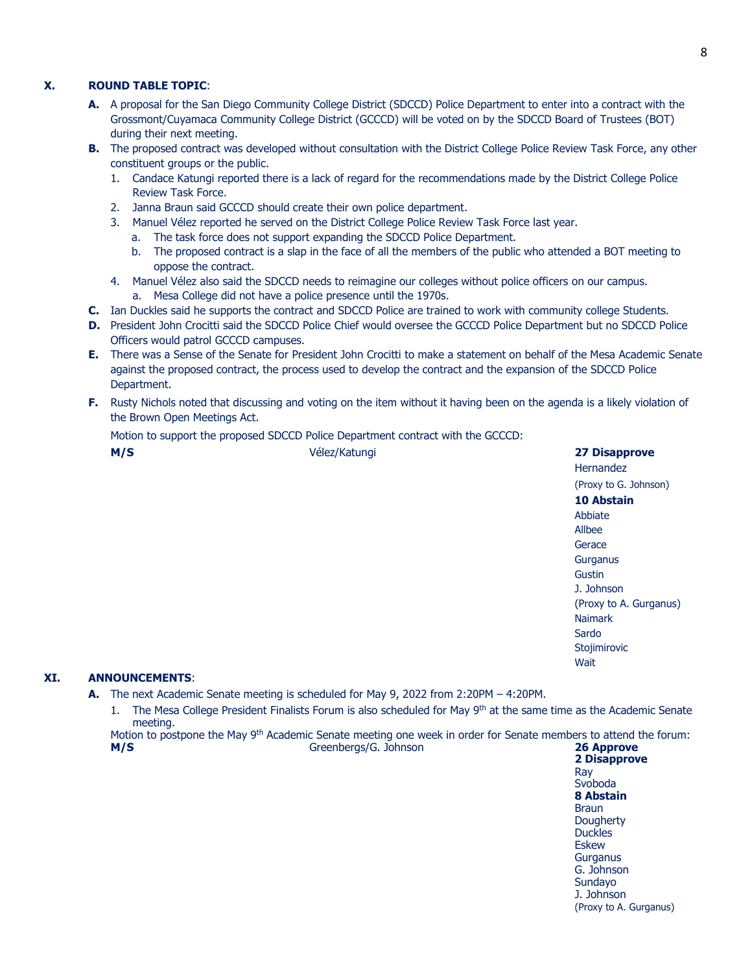## **X. ROUND TABLE TOPIC**:

- **A.** A proposal for the San Diego Community College District (SDCCD) Police Department to enter into a contract with the Grossmont/Cuyamaca Community College District (GCCCD) will be voted on by the SDCCD Board of Trustees (BOT) during their next meeting.
- **B.** The proposed contract was developed without consultation with the District College Police Review Task Force, any other constituent groups or the public.
	- 1. Candace Katungi reported there is a lack of regard for the recommendations made by the District College Police Review Task Force.
	- 2. Janna Braun said GCCCD should create their own police department.
	- 3. Manuel Vélez reported he served on the District College Police Review Task Force last year.
		- a. The task force does not support expanding the SDCCD Police Department.
		- b. The proposed contract is a slap in the face of all the members of the public who attended a BOT meeting to oppose the contract.
	- 4. Manuel Vélez also said the SDCCD needs to reimagine our colleges without police officers on our campus. a. Mesa College did not have a police presence until the 1970s.
- **C.** Ian Duckles said he supports the contract and SDCCD Police are trained to work with community college Students.
- **D.** President John Crocitti said the SDCCD Police Chief would oversee the GCCCD Police Department but no SDCCD Police Officers would patrol GCCCD campuses.
- **E.** There was a Sense of the Senate for President John Crocitti to make a statement on behalf of the Mesa Academic Senate against the proposed contract, the process used to develop the contract and the expansion of the SDCCD Police Department.
- **F.** Rusty Nichols noted that discussing and voting on the item without it having been on the agenda is a likely violation of the Brown Open Meetings Act.

Motion to support the proposed SDCCD Police Department contract with the GCCCD:

**M/S** Vélez/Katungi **27 Disapprove Hernandez** (Proxy to G. Johnson) **10 Abstain** Abbiate Allbee **Gerace Gurganus** Gustin J. Johnson (Proxy to A. Gurganus) Naimark Sardo Stojimirovic **Wait** 

#### **XI. ANNOUNCEMENTS**:

**A.** The next Academic Senate meeting is scheduled for May 9, 2022 from 2:20PM – 4:20PM.

1. The Mesa College President Finalists Forum is also scheduled for May 9<sup>th</sup> at the same time as the Academic Senate meeting.

Motion to postpone the May 9<sup>th</sup> Academic Senate meeting one week in order for Senate members to attend the forum: **M/S** Greenbergs/G. Johnson **26 Approve**

**2 Disapprove** Ray Svoboda **8 Abstain** Braun **Dougherty Duckles** Eskew **Gurganus** G. Johnson Sundayo J. Johnson (Proxy to A. Gurganus)